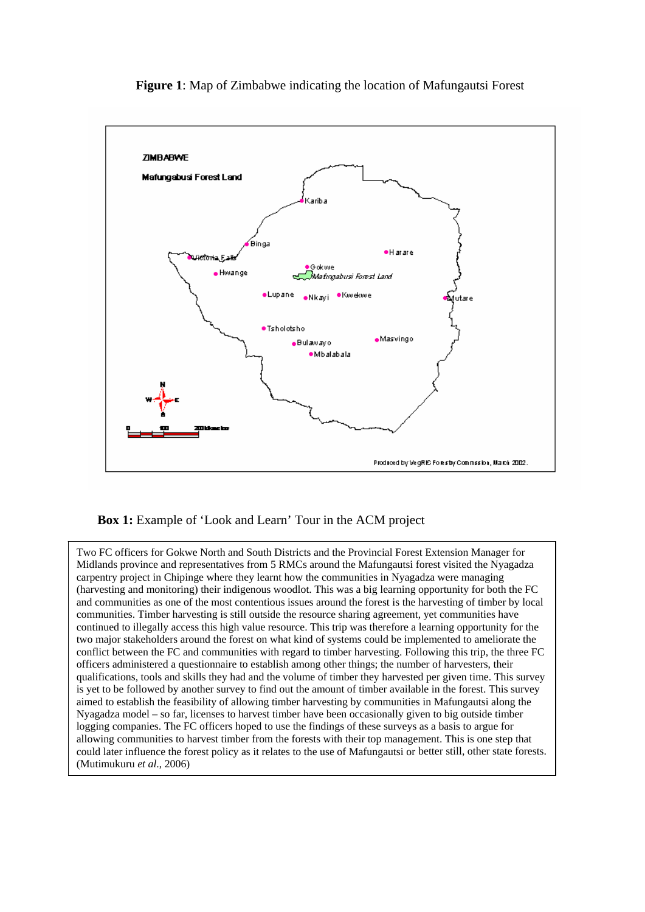

**Figure 1**: Map of Zimbabwe indicating the location of Mafungautsi Forest

# **Box 1:** Example of 'Look and Learn' Tour in the ACM project

Two FC officers for Gokwe North and South Districts and the Provincial Forest Extension Manager for Midlands province and representatives from 5 RMCs around the Mafungautsi forest visited the Nyagadza carpentry project in Chipinge where they learnt how the communities in Nyagadza were managing (harvesting and monitoring) their indigenous woodlot. This was a big learning opportunity for both the FC and communities as one of the most contentious issues around the forest is the harvesting of timber by local communities. Timber harvesting is still outside the resource sharing agreement, yet communities have continued to illegally access this high value resource. This trip was therefore a learning opportunity for the two major stakeholders around the forest on what kind of systems could be implemented to ameliorate the conflict between the FC and communities with regard to timber harvesting. Following this trip, the three FC officers administered a questionnaire to establish among other things; the number of harvesters, their qualifications, tools and skills they had and the volume of timber they harvested per given time. This survey is yet to be followed by another survey to find out the amount of timber available in the forest. This survey aimed to establish the feasibility of allowing timber harvesting by communities in Mafungautsi along the Nyagadza model – so far, licenses to harvest timber have been occasionally given to big outside timber logging companies. The FC officers hoped to use the findings of these surveys as a basis to argue for allowing communities to harvest timber from the forests with their top management. This is one step that could later influence the forest policy as it relates to the use of Mafungautsi or better still, other state forests. (Mutimukuru *et al*., 2006)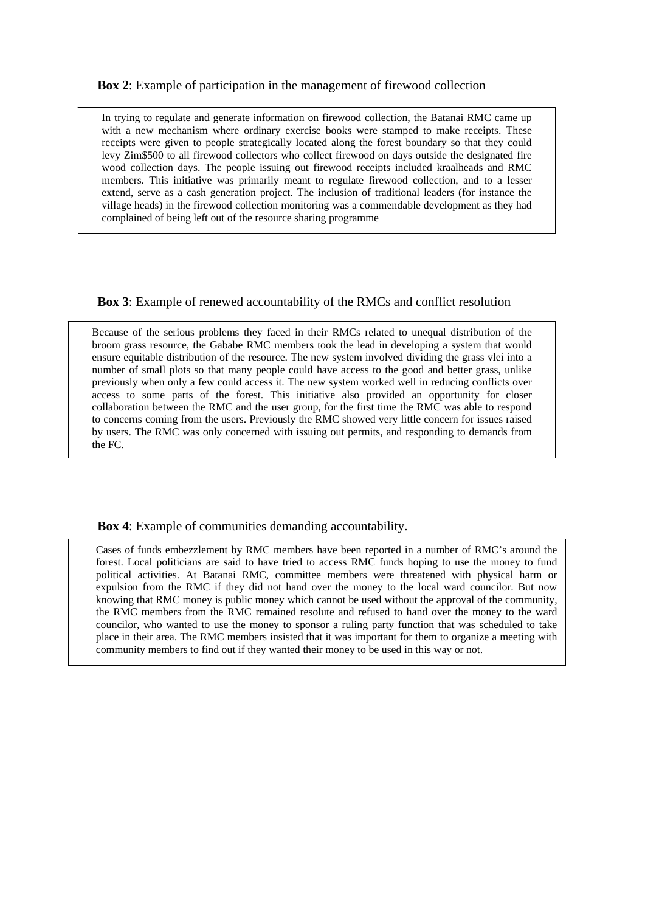## **Box 2**: Example of participation in the management of firewood collection

In trying to regulate and generate information on firewood collection, the Batanai RMC came up with a new mechanism where ordinary exercise books were stamped to make receipts. These receipts were given to people strategically located along the forest boundary so that they could levy Zim\$500 to all firewood collectors who collect firewood on days outside the designated fire wood collection days. The people issuing out firewood receipts included kraalheads and RMC members. This initiative was primarily meant to regulate firewood collection, and to a lesser extend, serve as a cash generation project. The inclusion of traditional leaders (for instance the village heads) in the firewood collection monitoring was a commendable development as they had complained of being left out of the resource sharing programme

## **Box 3**: Example of renewed accountability of the RMCs and conflict resolution

Because of the serious problems they faced in their RMCs related to unequal distribution of the broom grass resource, the Gababe RMC members took the lead in developing a system that would ensure equitable distribution of the resource. The new system involved dividing the grass vlei into a number of small plots so that many people could have access to the good and better grass, unlike previously when only a few could access it. The new system worked well in reducing conflicts over access to some parts of the forest. This initiative also provided an opportunity for closer collaboration between the RMC and the user group, for the first time the RMC was able to respond to concerns coming from the users. Previously the RMC showed very little concern for issues raised by users. The RMC was only concerned with issuing out permits, and responding to demands from the FC.

#### **Box 4**: Example of communities demanding accountability.

Cases of funds embezzlement by RMC members have been reported in a number of RMC's around the forest. Local politicians are said to have tried to access RMC funds hoping to use the money to fund political activities. At Batanai RMC, committee members were threatened with physical harm or expulsion from the RMC if they did not hand over the money to the local ward councilor. But now knowing that RMC money is public money which cannot be used without the approval of the community, the RMC members from the RMC remained resolute and refused to hand over the money to the ward councilor, who wanted to use the money to sponsor a ruling party function that was scheduled to take place in their area. The RMC members insisted that it was important for them to organize a meeting with community members to find out if they wanted their money to be used in this way or not.